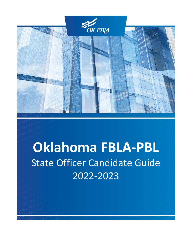

# **Oklahoma FBLA-PBL** State Officer Candidate Guide 2022-2023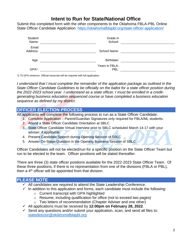# **Intent to Run for State/National Office**

Submit this completed form with the other components to the Oklahoma FBLA-PBL Online State Officer Candidate Application. <https://oklahomafblapbl.org/state-officer-application/>

| Student<br>Name:  | Grade in<br>School:    |  |
|-------------------|------------------------|--|
| Email<br>Address: | School Name:           |  |
| Age:              | Birthdate:             |  |
| GPA*:             | Years in FBLA-<br>PBL: |  |

\*2.75 GPA minimum. Official transcript will be required with full application.

*I* understand that *I* must complete the remainder of the application package as outlined in the *State Officer Candidate Guidelines to be officially on the ballot for a state officer position during the 2022-2023 school year. I understand as a state officer, I must be enrolled in a creditgenerating business education sequenced course or have completed a business education sequence as defined by my district.*

## **OFFICER ELECTION PROCESS**

All applicants will complete the following process to run as a State Officer Candidate:

- 1. Complete Application Parent/Guardian Signatures only required for FBLA/ML students.
- 2. Attend a State Officer Candidate Orientation at SBLC
- 3. State Officer Candidate Virtual Interview prior to SBLC scheduled March 14-17 with your adviser, if applicable
- 4. Present Candidate Speech during Opening Session of SBLC
- 5. Answer On-Stage Question in the Opening Business Session of SBLC

Officer Candidates will not be elected/run for a specific position on the State Officer Team but run to be elected to the team. Officer positions will be slated thereafter.

There are three (3) state officer positions available for the 2022-2023 State Officer Team. Of these three positions, if there is no representation from one of the divisions (FBLA or PBL), then a  $4<sup>th</sup>$  officer will be appointed from that division.

### **PLEASE NOTE**

- $\checkmark$  All candidates are required to attend the State Leadership Conference.
- $\checkmark$  In addition to this application and forms, each candidate must include the following:
	- o Current transcript with GPA highlighted
	- o Resume, including qualification for office (not to exceed two pages)
	- o Two letters of recommendation (Chapter Adviser and one other)
- ✓ All applications must be received by **12:00pm on February 28, 2022**.
- $\checkmark$  Send any questions and/or submit your application, scan, and send all files to: [statedirector@oklahomafblapbl.org](mailto:statedirector@oklahomafblapbl.org)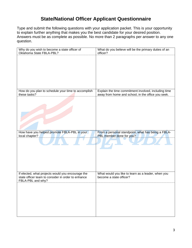# **State/National Officer Applicant Questionnaire**

Type and submit the following questions with your application packet. This is your opportunity to explain further anything that makes you the best candidate for your desired position. Answers must be as complete as possible. No more than 2 paragraphs per answer to any one question.

| Why do you wish to become a state officer of<br>Oklahoma State FBLA-PBL?                                | What do you believe will be the primary duties of an<br>officer?              |
|---------------------------------------------------------------------------------------------------------|-------------------------------------------------------------------------------|
|                                                                                                         |                                                                               |
|                                                                                                         |                                                                               |
|                                                                                                         |                                                                               |
|                                                                                                         |                                                                               |
|                                                                                                         |                                                                               |
| How do you plan to schedule your time to accomplish                                                     | Explain the time commitment involved, including time                          |
| these tasks?                                                                                            | away from home and school, in the office you seek.                            |
|                                                                                                         |                                                                               |
|                                                                                                         |                                                                               |
|                                                                                                         |                                                                               |
|                                                                                                         |                                                                               |
|                                                                                                         |                                                                               |
| How have you helped promote FBLA-PBL in your                                                            | From a personal standpoint, what has being a FBLA-                            |
|                                                                                                         |                                                                               |
| local chapter?                                                                                          | PBL member done for you?                                                      |
|                                                                                                         |                                                                               |
|                                                                                                         |                                                                               |
|                                                                                                         |                                                                               |
|                                                                                                         |                                                                               |
|                                                                                                         |                                                                               |
| If elected, what projects would you encourage the<br>state officer team to consider in order to enhance | What would you like to learn as a leader, when you<br>become a state officer? |
| FBLA-PBL and why?                                                                                       |                                                                               |
|                                                                                                         |                                                                               |
|                                                                                                         |                                                                               |
|                                                                                                         |                                                                               |
|                                                                                                         |                                                                               |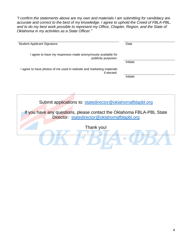*"I confirm the statements above are my own and materials I am submitting for candidacy are accurate and correct to the best of my knowledge. I agree to uphold the Creed of FBLA-PBL,*  and to do my best work possible to represent my Office, Chapter, Region, and the State of *Oklahoma in my activities as a State Officer."*

| <b>Student Applicant Signature</b>                                                  | Date            |
|-------------------------------------------------------------------------------------|-----------------|
| I agree to have my responses made anonymously available for<br>publicity purposes:  |                 |
|                                                                                     | <b>Initials</b> |
| I agree to have photos of me used in website and marketing materials<br>if elected: |                 |
|                                                                                     | <b>Initials</b> |
|                                                                                     |                 |
|                                                                                     |                 |
|                                                                                     |                 |
| Submit applications to: statedirector@oklahomafblapbl.org                           |                 |
| If you have any questions, please contact the Oklahoma FBLA-PBL State               |                 |
| Director: statedirector@oklahomafblapbl.org                                         |                 |
| Thank you!                                                                          |                 |
|                                                                                     |                 |
|                                                                                     |                 |
|                                                                                     |                 |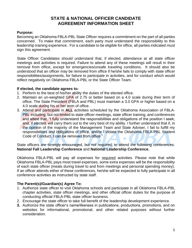## **STATE & NATIONAL OFFICER CANDIDATE AGREEMENT INFORMATION SHEET**

#### **Purpose:**

Becoming an Oklahoma FBLA-PBL State Officer requires a commitment on the part of all parties concerned. To make that commitment, each party must understand the responsibility to this leadership training experience. For a candidate to be eligible for office, all parties indicated *must*  sign this agreement.

State Officer Candidates should understand that, if elected, attendance at all state officer meetings and activities is required. Failure to attend any of these meetings will result in their removal from office, except for emergencies/unsafe traveling conditions. It should also be understood that an officer may be removed from office if he/she fails to comply with state officer responsibilities/assignments, for failure to participate in activities, and for conduct which would reflect negatively on Oklahoma FBLA-PBL or the State Officer Team.

#### **If elected, the candidate agrees to:**

- 1. Perform to the best of his/her ability the duties of the elected office.
- 2. Maintain an un-weighted GPA of 2.75 or better based on a 4.0 scale during their term of office. The State President (FBLA and PBL) must maintain a 3.0 GPA or higher based on a 4.0 scale during his or her term of office.
- 3. Attend and participate in **ALL** activities scheduled by the Oklahoma Association of FBLA-PBL including, but not limited to state officer meetings, state officer training, and conferences and attest that, "I fully understand the responsibilities and obligations of the position I seek; and, if elected, will carry them out to the very best of my ability. I further understand that if, in the opinion of the majority of the Management Team and State Adviser, I fail to fulfill my responsibilities and obligations of office, and/or I violate the Oklahoma FBLA-PBL Student Code of Conduct, I can be removed from office."

State officers are strongly encouraged, but not required, to attend the following conferences: **National Fall Leadership Conference** and **National Leadership Conference.**

Oklahoma FBLA-PBL will pay all expenses for required activities. Please note that while Oklahoma FBLA-PBL pays most travel expenses, some extra expenses will be the responsibility of each state officer (meals during travel to and from meetings and personal spending money). If an officer attends either of these conferences, he/she will be expected to fully participate in all conference activities as instructed by state staff.

#### **The Parent(s)/Guardian(s) Agree To:**

- 1. Authorize state officer to visit Oklahoma schools and participate in all Oklahoma FBLA-PBL chapter activities, state officer meetings, and other official officer duties for the purpose of conducting official FBLA-PBL state officer business.
- 2. Encourage the state officer to take full benefit of the leadership development experience.
- **3.** Authorize the state officer's name/likeness in publications, productions, promotions, and on websites for informational, promotional, and other related purposes without further consideration.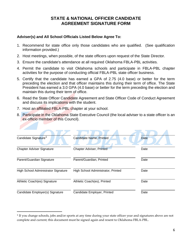## **STATE & NATIONAL OFFICER CANDIDATE AGREEMENT SIGNATURE FORM**

#### **Adviser(s) and All School Officials Listed Below Agree To:**

- 1. Recommend for state office only those candidates who are qualified. (See qualification information provided.)
- 2. Host meetings, when possible, of the state officers upon request of the State Director.
- 3. Ensure the candidate's attendance at all required Oklahoma FBLA-PBL activities.
- 4. Permit the candidate to visit Oklahoma schools and participate in FBLA-PBL chapter activities for the purpose of conducting official FBLA-PBL state officer business.
- 5. Certify that the candidate has earned a GPA of 2.75 (4.0 base) or better for the term preceding the election and that officer maintains this during their term of office. The State President has earned a 3.0 GPA (4.0 base) or better for the term preceding the election and maintain this during their term of office.
- 6. Read the State Officer Candidate Agreement and State Officer Code of Conduct Agreement and discuss its implications with the student.
- 7. Host an affiliated FBLA-PBL chapter at your school.
- 8. Participate in the Oklahoma State Executive Council (the local adviser to a state officer is an ex-officio member of this Council).

| Candidate Signature <sup>1</sup>    | <b>Candidate Name, Printed</b>     | <b>Date</b> |
|-------------------------------------|------------------------------------|-------------|
| <b>Chapter Adviser Signature</b>    | <b>Chapter Adviser, Printed</b>    | Date        |
| Parent/Guardian Signature           | Parent/Guardian, Printed           | Date        |
| High School Administrator Signature | High School Administrator, Printed | Date        |
| Athletic Coach(es) Signature        | Athletic Coach(es), Printed        | Date        |
| Candidate Employer(s) Signature     | Candidate Employer, Printed        | Date        |

<sup>&</sup>lt;sup>1</sup> If you change schools, jobs and/or sports at any time during your state officer year and signatures above are not complete and current; this document must be signed again and resent to Oklahoma FBLA-PBL.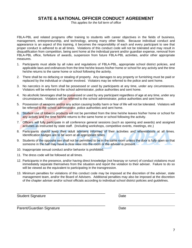## **STATE & NATIONAL OFFICER CONDUCT AGREEMENT**

*This applies for the full term of office*

FBLA-PBL and related programs offer training to students with career objectives in the fields of business, management, entrepreneurship, and technology, among many other fields. Because individual conduct and appearance is an aspect of this training, it becomes the responsibility of each and every participant to see that proper conduct is adhered to at all times. Violations of this conduct code will not be tolerated and may result in disqualification from competition, being sent home at the individual parent and/or guardian expense, removal from FBLA-PBL office, forfeiture of awards, suspension from future FBLA-PBL activities, and/or other appropriate measures.

- 1. Participants must abide by all rules and regulations of FBLA-PBL, appropriate school district policies, and applicable laws and ordinances from the time he/she leaves his/her home or school for any activity and the time he/she returns to the same home or school following the activity.
- 2. There shall be no defacing or stealing of property. Any damages to any property or furnishing must be paid or replaced by the individual or chapter involved. Violators may be referred to the police and sent home.
- 3. No narcotics in any form shall be possessed or used by participants at any time, under any circumstances. Violators will be referred to the school administrator, police authorities and sent home.
- 4. No alcoholic beverages shall be possessed or used by any participant regardless of age at any time, under any circumstances. Violators will be referred to the school administrator, police authorities and sent home.
- 5. Possession of weapons and/or any action causing bodily harm or fear of life will not be tolerated. Violators will be referred to the school administrator, police authorities and sent home.
- 6. Student use of tobacco products will not be permitted from the time he/she leaves his/her home or school for any activity and the time he/she returns to the same home or school following the activity.
- 7. Officers will fully participate in all conference general sessions (such as opening and awards) and assigned activities as instructed by state staff. (Including workshops, competitive events, meetings, etc.)
- 8. Participants should keep their adult advisers informed of their activities and whereabouts at all times. Identification badges are to be worn at all appropriate times.
- 9. Students of the opposite sex shall not be permitted to be in the same room unless the door is fully open so that someone in the hall may have a clear view into the room or the adviser is present.
- 10. Inappropriate sexual conduct and/or behavior is prohibited.

\_\_\_\_\_\_\_\_\_\_\_\_\_\_\_\_\_\_\_\_\_\_\_\_\_\_\_\_\_\_\_\_\_\_\_\_\_\_\_\_\_\_\_\_

\_\_\_\_\_\_\_\_\_\_\_\_\_\_\_\_\_\_\_\_\_\_\_\_\_\_\_\_\_\_\_\_\_\_\_\_\_\_\_\_\_\_\_\_

- 11. The dress code will be followed at all times.
- 12. Participants in the presence, and/or having direct knowledge (not hearsay or rumor) of conduct violations must immediately separate themselves from the situation and report the violation to their adviser. Failure to do so will be viewed as the equivalent to participating in the transgression.
- 13. Minimum penalties for violations of this conduct code may be imposed at the discretion of the adviser, state management team, and/or the Board of Advisers. Additional penalties may also be imposed at the discretion of the chapter adviser and/or school officials according to individual school district policies and guidelines.

Student Signature Date

Parent/Guardian Signature Date Date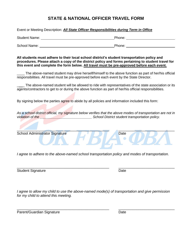# **STATE & NATIONAL OFFICER TRAVEL FORM**

Student Name: The Contract of the Contract of the Phone: Phone: Phone: Phone: Phone: Phone: Phone: Phone: Phone: Phone: Phone: Phone: Phone: Phone: Phone: Phone: Phone: Phone: Phone: Phone: Phone: Phone: Phone: Phone: Phon

Event or Meeting Description: *All State Officer Responsibilities during Term in Office*

**All students must adhere to their local school district's student transportation policy and procedures. Please attach a copy of the district policy and forms pertaining to student travel for this event and complete the form below. All travel must be pre-approved before each event.** The above-named student may drive herself/himself to the above function as part of her/his official responsibilities. All travel must be pre-approved before each event by the State Director. The above-named student will be allowed to ride with representatives of the state association or its agents/contractors to get to or during the above function as part of her/his official responsibilities. By signing below the parties agree to abide by all policies and information included this form: *As a school district official, my signature below verifies that the above modes of transportation are not in violation of the \_\_\_\_\_\_\_\_\_\_\_\_\_\_\_\_\_\_\_\_\_\_\_\_\_\_\_ School District student transportation policy.*   $\overline{\phantom{a}}$  ,  $\overline{\phantom{a}}$  ,  $\overline{\phantom{a}}$  ,  $\overline{\phantom{a}}$  ,  $\overline{\phantom{a}}$  ,  $\overline{\phantom{a}}$  ,  $\overline{\phantom{a}}$  ,  $\overline{\phantom{a}}$  ,  $\overline{\phantom{a}}$  ,  $\overline{\phantom{a}}$  ,  $\overline{\phantom{a}}$  ,  $\overline{\phantom{a}}$  ,  $\overline{\phantom{a}}$  ,  $\overline{\phantom{a}}$  ,  $\overline{\phantom{a}}$  ,  $\overline{\phantom{a}}$ School Administrator Signature Date Date Date *I agree to adhere to the above-named school transportation policy and modes of transportation.* 

Student Signature Date

*I agree to allow my child to use the above-named mode(s) of transportation and give permission for my child to attend this meeting.* 

\_\_\_\_\_\_\_\_\_\_\_\_\_\_\_\_\_\_\_\_\_\_\_\_\_\_\_\_\_\_\_\_\_\_\_\_\_\_\_\_\_\_\_\_\_\_ \_\_\_\_\_\_\_\_\_\_\_\_\_\_\_\_\_\_\_\_\_\_\_\_\_\_\_\_

Parent/Guardian Signature **Date** Date

\_\_\_\_\_\_\_\_\_\_\_\_\_\_\_\_\_\_\_\_\_\_\_\_\_\_\_\_\_\_\_\_\_\_\_\_\_\_\_\_\_\_\_\_\_\_ \_\_\_\_\_\_\_\_\_\_\_\_\_\_\_\_\_\_\_\_\_\_\_\_\_\_\_\_

School Name: **Phone:** Phone: Phone: Phone: Phone: Phone: Phone: Phone: Phone: Phone: Phone: Phone: Phone: Phone: Phone: Phone: Phone: Phone: Phone: Phone: Phone: Phone: Phone: Phone: Phone: Phone: Phone: Phone: Phone: Phon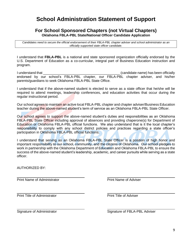# **School Administration Statement of Support**

#### **For School Sponsored Chapters (not Virtual Chapters) Oklahoma FBLA-PBL State/National Officer Candidate Application**

*Candidates need to secure the official endorsement of their FBLA-PBL chapter adviser and school administrator as an officially supported state officer candidate.*

I understand that **FBLA-PBL** is a national and state sponsored organization officially endorsed by the U.S. Department of Education as a co-curricular, integral part of Business Education instruction and program.

I understand that \_\_\_\_\_\_\_\_\_\_\_\_\_\_\_\_\_\_\_\_\_\_\_\_\_\_\_\_\_\_\_\_\_\_\_\_\_\_\_\_ (candidate name) has been officially endorsed by our school's FBLA-PBL chapter, our FBLA-PBL chapter adviser, and his/her parents/guardians to seek Oklahoma FBLA-PBL State Office.

I understand that if the above-named student is elected to serve as a state officer that he/she will be required to attend meetings, leadership conferences, and education activities that occur during the regular instructional period.

Our school agrees to maintain an active local FBLA-PBL chapter and chapter adviser/Business Education teacher during the above-named student's term of service as an Oklahoma FBLA-PBL State Officer.

Our school agrees to support the above-named student's duties and responsibilities as an Oklahoma FBLA-PBL State Officer including approval of absences and providing chaperone(s) for Department of Education or Oklahoma FBLA-PBL official functions. We also understand that is it the local chapter's responsibility to comply with any school district policies and practices regarding a state officer's participation in Oklahoma FBLA-PBL official functions.

I understand that serving as an Oklahoma FBLA-PBL State Officer is a position of high honor and important responsibility to our school, community, and the citizens of Oklahoma. Our school pledges to work in partnership with the Oklahoma Department of Education and Oklahoma FBLA-PBL to ensure the success of the above-named student's leadership, academic, and career pursuits while serving as a state officer.

AUTHORIZED BY:

Print Name of Administrator **Print Name of Adviser** 

Print Title of Administrator **Print Title of Adviser** 

Signature of Administrator **Signature of FBLA-PBL Adviser** Signature of FBLA-PBL Adviser